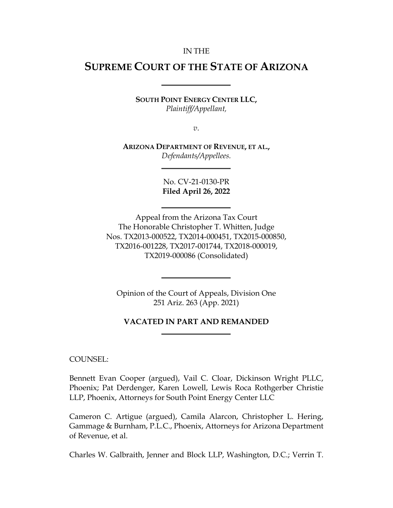#### IN THE

# **SUPREME COURT OF THE STATE OF ARIZONA**

**SOUTH POINT ENERGY CENTER LLC,** *Plaintiff/Appellant,*

*v*.

**ARIZONA DEPARTMENT OF REVENUE, ET AL.,** *Defendants/Appellees.*

> No. CV-21-0130-PR **Filed April 26, 2022**

Appeal from the Arizona Tax Court The Honorable Christopher T. Whitten, Judge Nos. TX2013-000522, TX2014-000451, TX2015-000850, TX2016-001228, TX2017-001744, TX2018-000019, TX2019-000086 (Consolidated)

Opinion of the Court of Appeals, Division One 251 Ariz. 263 (App. 2021)

#### **VACATED IN PART AND REMANDED**

COUNSEL:

Bennett Evan Cooper (argued), Vail C. Cloar, Dickinson Wright PLLC, Phoenix; Pat Derdenger, Karen Lowell, Lewis Roca Rothgerber Christie LLP, Phoenix, Attorneys for South Point Energy Center LLC

Cameron C. Artigue (argued), Camila Alarcon, Christopher L. Hering, Gammage & Burnham, P.L.C., Phoenix, Attorneys for Arizona Department of Revenue, et al.

Charles W. Galbraith, Jenner and Block LLP, Washington, D.C.; Verrin T.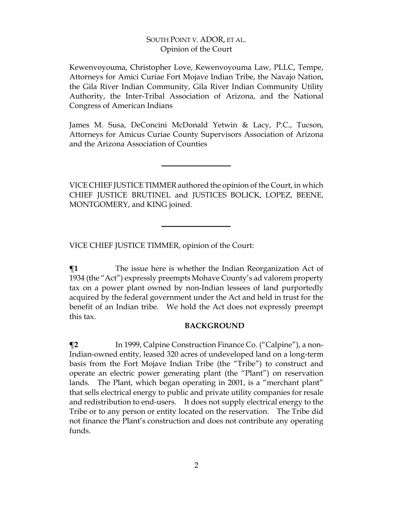Kewenvoyouma, Christopher Love, Kewenvoyouma Law, PLLC, Tempe, Attorneys for Amici Curiae Fort Mojave Indian Tribe, the Navajo Nation, the Gila River Indian Community, Gila River Indian Community Utility Authority, the Inter-Tribal Association of Arizona, and the National Congress of American Indians

James M. Susa, DeConcini McDonald Yetwin & Lacy, P.C., Tucson, Attorneys for Amicus Curiae County Supervisors Association of Arizona and the Arizona Association of Counties

VICE CHIEF JUSTICETIMMERauthored the opinion of the Court, in which CHIEF JUSTICE BRUTINEL and JUSTICES BOLICK, LOPEZ, BEENE, MONTGOMERY, and KING joined.

VICE CHIEF JUSTICE TIMMER, opinion of the Court:

**¶1** The issue here is whether the Indian Reorganization Act of 1934 (the "Act") expressly preempts Mohave County's ad valorem property tax on a power plant owned by non-Indian lessees of land purportedly acquired by the federal government under the Act and held in trust for the benefit of an Indian tribe. We hold the Act does not expressly preempt this tax.

#### **BACKGROUND**

**¶2** In 1999, Calpine Construction Finance Co. ("Calpine"), a non-Indian-owned entity, leased 320 acres of undeveloped land on a long-term basis from the Fort Mojave Indian Tribe (the "Tribe") to construct and operate an electric power generating plant (the "Plant") on reservation lands. The Plant, which began operating in 2001, is a "merchant plant" that sells electrical energy to public and private utility companies for resale and redistribution to end-users. It does not supply electrical energy to the Tribe or to any person or entity located on the reservation. The Tribe did not finance the Plant's construction and does not contribute any operating funds.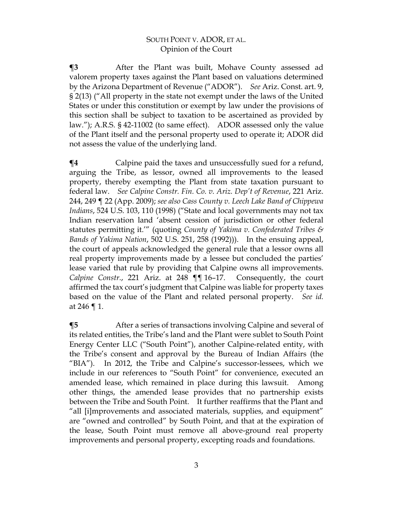**¶3** After the Plant was built, Mohave County assessed ad valorem property taxes against the Plant based on valuations determined by the Arizona Department of Revenue ("ADOR"). *See* Ariz. Const. art. 9, § 2(13) ("All property in the state not exempt under the laws of the United States or under this constitution or exempt by law under the provisions of this section shall be subject to taxation to be ascertained as provided by law."); A.R.S. § 42-11002 (to same effect). ADOR assessed only the value of the Plant itself and the personal property used to operate it; ADOR did not assess the value of the underlying land.

**¶4** Calpine paid the taxes and unsuccessfully sued for a refund, arguing the Tribe, as lessor, owned all improvements to the leased property, thereby exempting the Plant from state taxation pursuant to federal law. *See Calpine Constr. Fin. Co. v. Ariz. Dep't of Revenue*, 221 Ariz. 244, 249 ¶ 22 (App. 2009); *see also Cass County v. Leech Lake Band of Chippewa Indians*, 524 U.S. 103, 110 (1998) ("State and local governments may not tax Indian reservation land 'absent cession of jurisdiction or other federal statutes permitting it.'" (quoting *County of Yakima v. Confederated Tribes & Bands of Yakima Nation*, 502 U.S. 251, 258 (1992))). In the ensuing appeal, the court of appeals acknowledged the general rule that a lessor owns all real property improvements made by a lessee but concluded the parties' lease varied that rule by providing that Calpine owns all improvements. *Calpine Constr.*, 221 Ariz. at 248 ¶¶ 16–17. Consequently, the court affirmed the tax court's judgment that Calpine was liable for property taxes based on the value of the Plant and related personal property. *See id.* at 246 ¶ 1.

**The Term 4.5** After a series of transactions involving Calpine and several of its related entities, the Tribe's land and the Plant were sublet to South Point Energy Center LLC ("South Point"), another Calpine-related entity, with the Tribe's consent and approval by the Bureau of Indian Affairs (the "BIA"). In 2012, the Tribe and Calpine's successor-lessees, which we include in our references to "South Point" for convenience, executed an amended lease, which remained in place during this lawsuit. Among other things, the amended lease provides that no partnership exists between the Tribe and South Point. It further reaffirms that the Plant and "all [i]mprovements and associated materials, supplies, and equipment" are "owned and controlled" by South Point, and that at the expiration of the lease, South Point must remove all above-ground real property improvements and personal property, excepting roads and foundations.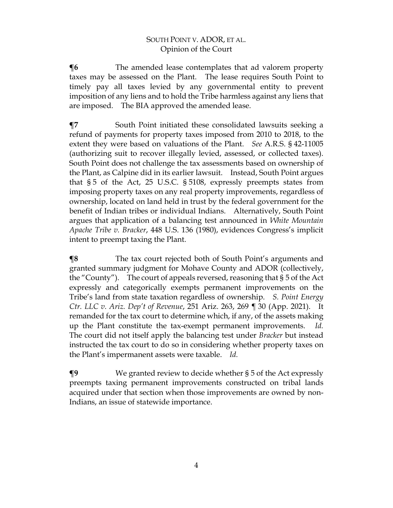**The amended lease contemplates that ad valorem property** taxes may be assessed on the Plant. The lease requires South Point to timely pay all taxes levied by any governmental entity to prevent imposition of any liens and to hold the Tribe harmless against any liens that are imposed. The BIA approved the amended lease.

**¶7** South Point initiated these consolidated lawsuits seeking a refund of payments for property taxes imposed from 2010 to 2018, to the extent they were based on valuations of the Plant. *See* A.R.S. § 42-11005 (authorizing suit to recover illegally levied, assessed, or collected taxes). South Point does not challenge the tax assessments based on ownership of the Plant, as Calpine did in its earlier lawsuit. Instead, South Point argues that § 5 of the Act, 25 U.S.C. § 5108, expressly preempts states from imposing property taxes on any real property improvements, regardless of ownership, located on land held in trust by the federal government for the benefit of Indian tribes or individual Indians. Alternatively, South Point argues that application of a balancing test announced in *White Mountain Apache Tribe v. Bracker*, 448 U.S. 136 (1980), evidences Congress's implicit intent to preempt taxing the Plant.

**¶8** The tax court rejected both of South Point's arguments and granted summary judgment for Mohave County and ADOR (collectively, the "County"). The court of appeals reversed, reasoning that § 5 of the Act expressly and categorically exempts permanent improvements on the Tribe's land from state taxation regardless of ownership. *S. Point Energy Ctr. LLC v. Ariz. Dep't of Revenue*, 251 Ariz. 263, 269 ¶ 30 (App. 2021). It remanded for the tax court to determine which, if any, of the assets making up the Plant constitute the tax-exempt permanent improvements. *Id.* The court did not itself apply the balancing test under *Bracker* but instead instructed the tax court to do so in considering whether property taxes on the Plant's impermanent assets were taxable. *Id.*

**¶9** We granted review to decide whether § 5 of the Act expressly preempts taxing permanent improvements constructed on tribal lands acquired under that section when those improvements are owned by non-Indians, an issue of statewide importance.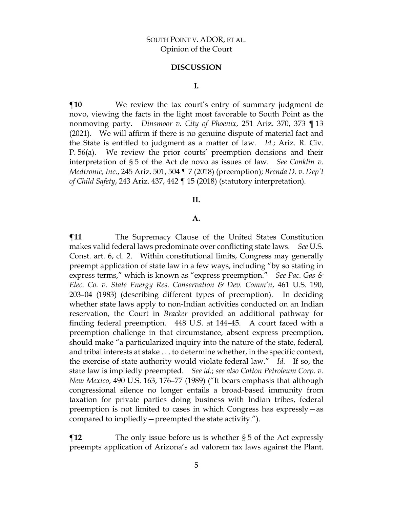#### **DISCUSSION**

#### **I.**

**¶10** We review the tax court's entry of summary judgment de novo, viewing the facts in the light most favorable to South Point as the nonmoving party. *Dinsmoor v. City of Phoenix*, 251 Ariz. 370, 373 ¶ 13 (2021). We will affirm if there is no genuine dispute of material fact and the State is entitled to judgment as a matter of law. *Id.*; Ariz. R. Civ. P. 56(a). We review the prior courts' preemption decisions and their interpretation of § 5 of the Act de novo as issues of law. *See Conklin v. Medtronic, Inc.*, 245 Ariz. 501, 504 ¶ 7 (2018) (preemption); *Brenda D. v. Dep't of Child Safety*, 243 Ariz. 437, 442 ¶ 15 (2018) (statutory interpretation).

#### **II.**

#### **A.**

 $\P$ **11** The Supremacy Clause of the United States Constitution makes valid federal laws predominate over conflicting state laws. *See* U.S. Const. art. 6, cl. 2. Within constitutional limits, Congress may generally preempt application of state law in a few ways, including "by so stating in express terms," which is known as "express preemption." *See Pac. Gas & Elec. Co. v. State Energy Res. Conservation & Dev. Comm'n*, 461 U.S. 190, 203–04 (1983) (describing different types of preemption). In deciding whether state laws apply to non-Indian activities conducted on an Indian reservation, the Court in *Bracker* provided an additional pathway for finding federal preemption. 448 U.S. at 144–45. A court faced with a preemption challenge in that circumstance, absent express preemption, should make "a particularized inquiry into the nature of the state, federal, and tribal interests at stake . . . to determine whether, in the specific context, the exercise of state authority would violate federal law." *Id.* If so, the state law is impliedly preempted. *See id.*; *see also Cotton Petroleum Corp. v. New Mexico*, 490 U.S. 163, 176–77 (1989) ("It bears emphasis that although congressional silence no longer entails a broad-based immunity from taxation for private parties doing business with Indian tribes, federal preemption is not limited to cases in which Congress has expressly—as compared to impliedly—preempted the state activity.").

**¶12** The only issue before us is whether § 5 of the Act expressly preempts application of Arizona's ad valorem tax laws against the Plant.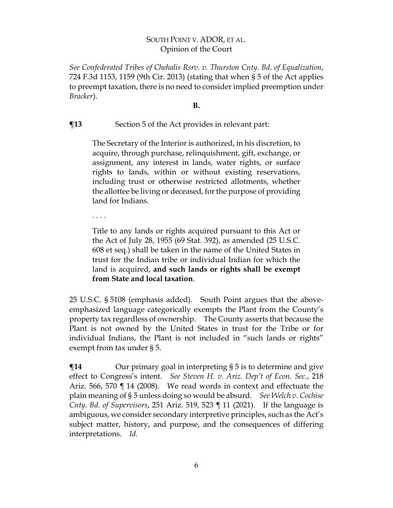*See Confederated Tribes of Chehalis Rsrv. v. Thurston Cnty. Bd. of Equalization*, 724 F.3d 1153, 1159 (9th Cir. 2013) (stating that when § 5 of the Act applies to preempt taxation, there is no need to consider implied preemption under *Bracker*).

**B.**

# **¶13** Section 5 of the Act provides in relevant part:

The Secretary of the Interior is authorized, in his discretion, to acquire, through purchase, relinquishment, gift, exchange, or assignment, any interest in lands, water rights, or surface rights to lands, within or without existing reservations, including trust or otherwise restricted allotments, whether the allottee be living or deceased, for the purpose of providing land for Indians.

. . . .

Title to any lands or rights acquired pursuant to this Act or the Act of July 28, 1955 (69 Stat. 392), as amended [\(25 U.S.C.](http://www.westlaw.com/Link/Document/FullText?findType=L&pubNum=1000546&cite=25USCAS608&originatingDoc=NBD5ECDE02DBB11E6BDB8F71DBFB0E872&refType=LQ&originationContext=document&vr=3.0&rs=cblt1.0&transitionType=DocumentItem&contextData=(sc.UserEnteredCitation))  [608](http://www.westlaw.com/Link/Document/FullText?findType=L&pubNum=1000546&cite=25USCAS608&originatingDoc=NBD5ECDE02DBB11E6BDB8F71DBFB0E872&refType=LQ&originationContext=document&vr=3.0&rs=cblt1.0&transitionType=DocumentItem&contextData=(sc.UserEnteredCitation)) [et seq.\)](http://www.westlaw.com/Link/Document/FullText?findType=L&pubNum=1000546&cite=25USCAS608&originatingDoc=NBD5ECDE02DBB11E6BDB8F71DBFB0E872&refType=LQ&originationContext=document&vr=3.0&rs=cblt1.0&transitionType=DocumentItem&contextData=(sc.UserEnteredCitation)) shall be taken in the name of the United States in trust for the Indian tribe or individual Indian for which the land is acquired, **and such lands or rights shall be exempt from State and local taxation**.

25 U.S.C. § 5108 (emphasis added). South Point argues that the aboveemphasized language categorically exempts the Plant from the County's property tax regardless of ownership. The County asserts that because the Plant is not owned by the United States in trust for the Tribe or for individual Indians, the Plant is not included in "such lands or rights" exempt from tax under § 5.

 $\P$ **14** Our primary goal in interpreting § 5 is to determine and give effect to Congress's intent. *See Steven H. v. Ariz. Dep't of Econ. Sec.*, 218 Ariz. 566, 570 ¶ 14 (2008). We read words in context and effectuate the plain meaning of § 5 unless doing so would be absurd. *See Welch v. Cochise Cnty. Bd. of Supervisors*, 251 Ariz. 519, 523 ¶ 11 (2021). If the language is ambiguous, we consider secondary interpretive principles, such as the Act's subject matter, history, and purpose, and the consequences of differing interpretations. *Id.*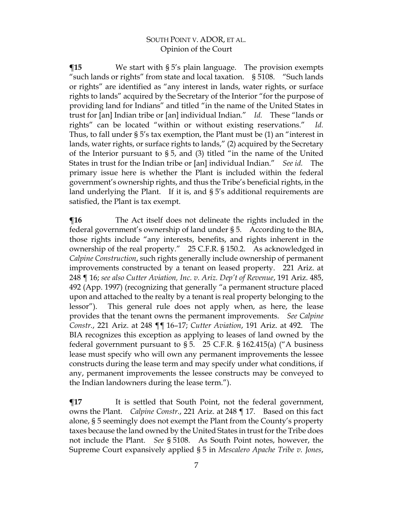**¶15** We start with § 5's plain language. The provision exempts "such lands or rights" from state and local taxation. § 5108. "Such lands or rights" are identified as "any interest in lands, water rights, or surface rights to lands" acquired by the Secretary of the Interior "for the purpose of providing land for Indians" and titled "in the name of the United States in trust for [an] Indian tribe or [an] individual Indian." *Id.* These "lands or rights" can be located "within or without existing reservations." *Id.* Thus, to fall under  $\S 5$ 's tax exemption, the Plant must be (1) an "interest in lands, water rights, or surface rights to lands," (2) acquired by the Secretary of the Interior pursuant to § 5, and (3) titled "in the name of the United States in trust for the Indian tribe or [an] individual Indian." *See id.* The primary issue here is whether the Plant is included within the federal government's ownership rights, and thus the Tribe's beneficial rights, in the land underlying the Plant. If it is, and § 5's additional requirements are satisfied, the Plant is tax exempt.

**¶16** The Act itself does not delineate the rights included in the federal government's ownership of land under § 5. According to the BIA, those rights include "any interests, benefits, and rights inherent in the ownership of the real property." 25 C.F.R. § 150.2. As acknowledged in *Calpine Construction*, such rights generally include ownership of permanent improvements constructed by a tenant on leased property. 221 Ariz. at 248 ¶ 16; *see also Cutter Aviation, Inc. v. Ariz. Dep't of Revenue*, 191 Ariz. 485, 492 (App. 1997) (recognizing that generally "a permanent structure placed upon and attached to the realty by a tenant is real property belonging to the lessor"). This general rule does not apply when, as here, the lease provides that the tenant owns the permanent improvements. *See Calpine Constr.*, 221 Ariz. at 248 ¶¶ 16–17; *Cutter Aviation*, 191 Ariz. at 492. The BIA recognizes this exception as applying to leases of land owned by the federal government pursuant to § 5. 25 C.F.R. § 162.415(a) ("A business lease must specify who will own any permanent improvements the lessee constructs during the lease term and may specify under what conditions, if any, permanent improvements the lessee constructs may be conveyed to the Indian landowners during the lease term.").

 $\P$ **17** It is settled that South Point, not the federal government, owns the Plant. *Calpine Constr.*, 221 Ariz. at 248 ¶ 17. Based on this fact alone, § 5 seemingly does not exempt the Plant from the County's property taxes because the land owned by the United States in trust for the Tribe does not include the Plant. *See* § 5108. As South Point notes, however, the Supreme Court expansively applied § 5 in *Mescalero Apache Tribe v. Jones*,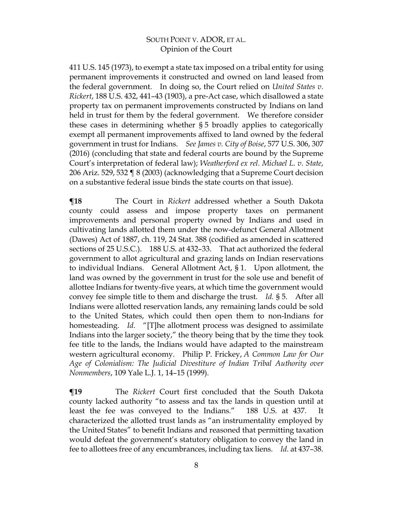411 U.S. 145 (1973), to exempt a state tax imposed on a tribal entity for using permanent improvements it constructed and owned on land leased from the federal government. In doing so, the Court relied on *United States v. Rickert*, 188 U.S. 432, 441–43 (1903), a pre-Act case, which disallowed a state property tax on permanent improvements constructed by Indians on land held in trust for them by the federal government. We therefore consider these cases in determining whether § 5 broadly applies to categorically exempt all permanent improvements affixed to land owned by the federal government in trust for Indians. *See James v. City of Boise*, 577 U.S. 306, 307 (2016) (concluding that state and federal courts are bound by the Supreme Court's interpretation of federal law); *Weatherford ex rel. Michael L. v. State*, 206 Ariz. 529, 532 ¶ 8 (2003) (acknowledging that a Supreme Court decision on a substantive federal issue binds the state courts on that issue).

**¶18** The Court in *Rickert* addressed whether a South Dakota county could assess and impose property taxes on permanent improvements and personal property owned by Indians and used in cultivating lands allotted them under the now-defunct General Allotment (Dawes) Act of 1887, ch. 119, 24 Stat. 388 (codified as amended in scattered sections of 25 U.S.C.). 188 U.S. at 432–33. That act authorized the federal government to allot agricultural and grazing lands on Indian reservations to individual Indians. General Allotment Act, § 1. Upon allotment, the land was owned by the government in trust for the sole use and benefit of allottee Indians for twenty-five years, at which time the government would convey fee simple title to them and discharge the trust. *Id.* § 5. After all Indians were allotted reservation lands, any remaining lands could be sold to the United States, which could then open them to non-Indians for homesteading. *Id.* "[T]he allotment process was designed to assimilate Indians into the larger society," the theory being that by the time they took fee title to the lands, the Indians would have adapted to the mainstream western agricultural economy. Philip P. Frickey, *A Common Law for Our Age of Colonialism: The Judicial Divestiture of Indian Tribal Authority over Nonmembers*, 109 Yale L.J. 1, 14–15 (1999).

**¶19** The *Rickert* Court first concluded that the South Dakota county lacked authority "to assess and tax the lands in question until at least the fee was conveyed to the Indians." 188 U.S. at 437. It characterized the allotted trust lands as "an instrumentality employed by the United States" to benefit Indians and reasoned that permitting taxation would defeat the government's statutory obligation to convey the land in fee to allottees free of any encumbrances, including tax liens. *Id.* at 437–38.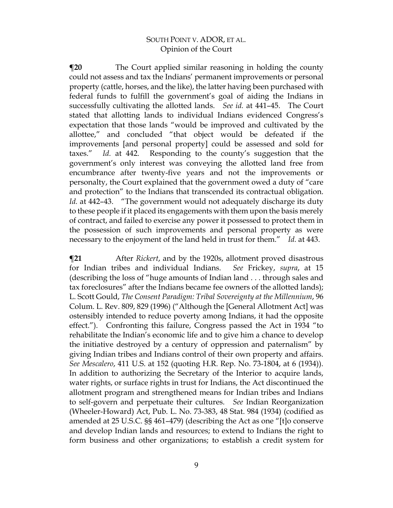**¶20** The Court applied similar reasoning in holding the county could not assess and tax the Indians' permanent improvements or personal property (cattle, horses, and the like), the latter having been purchased with federal funds to fulfill the government's goal of aiding the Indians in successfully cultivating the allotted lands. *See id.* at 441–45. The Court stated that allotting lands to individual Indians evidenced Congress's expectation that those lands "would be improved and cultivated by the allottee," and concluded "that object would be defeated if the improvements [and personal property] could be assessed and sold for taxes." *Id.* at 442. Responding to the county's suggestion that the government's only interest was conveying the allotted land free from encumbrance after twenty-five years and not the improvements or personalty, the Court explained that the government owed a duty of "care and protection" to the Indians that transcended its contractual obligation. *Id.* at 442–43. "The government would not adequately discharge its duty to these people if it placed its engagements with them upon the basis merely of contract, and failed to exercise any power it possessed to protect them in the possession of such improvements and personal property as were necessary to the enjoyment of the land held in trust for them." *Id.* at 443.

**¶21** After *Rickert*, and by the 1920s, allotment proved disastrous for Indian tribes and individual Indians. *See* Frickey, *supra*, at 15 (describing the loss of "huge amounts of Indian land . . . through sales and tax foreclosures" after the Indians became fee owners of the allotted lands); L. Scott Gould, *The Consent Paradigm: Tribal Sovereignty at the Millennium*, 96 Colum. L. Rev. 809, 829 (1996) ("Although the [General Allotment Act] was ostensibly intended to reduce poverty among Indians, it had the opposite effect."). Confronting this failure, Congress passed the Act in 1934 "to rehabilitate the Indian's economic life and to give him a chance to develop the initiative destroyed by a century of oppression and paternalism" by giving Indian tribes and Indians control of their own property and affairs. *See Mescalero*, 411 U.S. at 152 (quoting H.R. Rep. No. 73-1804, at 6 (1934)). In addition to authorizing the Secretary of the Interior to acquire lands, water rights, or surface rights in trust for Indians, the Act discontinued the allotment program and strengthened means for Indian tribes and Indians to self-govern and perpetuate their cultures. *See* Indian Reorganization (Wheeler-Howard) Act, Pub. L. No. 73-383, 48 Stat. 984 (1934) (codified as amended at 25 U.S.C. §§ 461–479) (describing the Act as one "[t]o conserve and develop Indian lands and resources; to extend to Indians the right to form business and other organizations; to establish a credit system for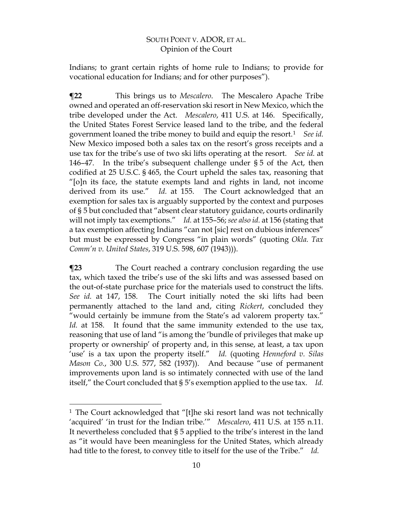Indians; to grant certain rights of home rule to Indians; to provide for vocational education for Indians; and for other purposes").

**¶22** This brings us to *Mescalero*. The Mescalero Apache Tribe owned and operated an off-reservation ski resort in New Mexico, which the tribe developed under the Act. *Mescalero*, 411 U.S. at 146. Specifically, the United States Forest Service leased land to the tribe, and the federal government loaned the tribe money to build and equip the resort.[1](#page-9-0) *See id.* New Mexico imposed both a sales tax on the resort's gross receipts and a use tax for the tribe's use of two ski lifts operating at the resort. *See id.* at 146–47. In the tribe's subsequent challenge under § 5 of the Act, then codified at 25 U.S.C. § 465, the Court upheld the sales tax, reasoning that "[o]n its face, the statute exempts land and rights in land, not income derived from its use." *Id.* at 155. The Court acknowledged that an exemption for sales tax is arguably supported by the context and purposes of § 5 but concluded that "absent clear statutory guidance, courts ordinarily will not imply tax exemptions." *Id.* at 155–56; *see also id.* at 156 (stating that a tax exemption affecting Indians "can not [sic] rest on dubious inferences" but must be expressed by Congress "in plain words" (quoting *Okla. Tax Comm'n v. United States*, 319 U.S. 598, 607 (1943))).

**The Court reached a contrary conclusion regarding the use** tax, which taxed the tribe's use of the ski lifts and was assessed based on the out-of-state purchase price for the materials used to construct the lifts. *See id.* at 147, 158. The Court initially noted the ski lifts had been permanently attached to the land and, citing *Rickert*, concluded they "would certainly be immune from the State's ad valorem property tax." *Id.* at 158. It found that the same immunity extended to the use tax, reasoning that use of land "is among the 'bundle of privileges that make up property or ownership' of property and, in this sense, at least, a tax upon 'use' is a tax upon the property itself." *Id.* (quoting *Henneford v. Silas Mason Co.*, 300 U.S. 577, 582 (1937)). And because "use of permanent improvements upon land is so intimately connected with use of the land itself," the Court concluded that § 5's exemption applied to the use tax. *Id.*

<span id="page-9-0"></span><sup>1</sup> The Court acknowledged that "[t]he ski resort land was not technically 'acquired' 'in trust for the Indian tribe.'" *Mescalero*, 411 U.S. at 155 n.11. It nevertheless concluded that § 5 applied to the tribe's interest in the land as "it would have been meaningless for the United States, which already had title to the forest, to convey title to itself for the use of the Tribe." *Id.*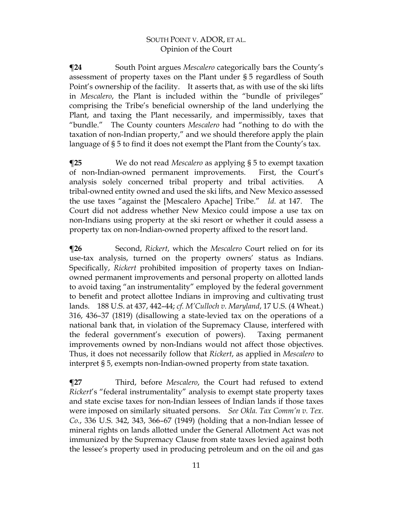**¶24** South Point argues *Mescalero* categorically bars the County's assessment of property taxes on the Plant under § 5 regardless of South Point's ownership of the facility. It asserts that, as with use of the ski lifts in *Mescalero*, the Plant is included within the "bundle of privileges" comprising the Tribe's beneficial ownership of the land underlying the Plant, and taxing the Plant necessarily, and impermissibly, taxes that "bundle." The County counters *Mescalero* had "nothing to do with the taxation of non-Indian property," and we should therefore apply the plain language of § 5 to find it does not exempt the Plant from the County's tax.

**¶25** We do not read *Mescalero* as applying § 5 to exempt taxation of non-Indian-owned permanent improvements. First, the Court's analysis solely concerned tribal property and tribal activities. A tribal-owned entity owned and used the ski lifts, and New Mexico assessed the use taxes "against the [Mescalero Apache] Tribe." *Id.* at 147. The Court did not address whether New Mexico could impose a use tax on non-Indians using property at the ski resort or whether it could assess a property tax on non-Indian-owned property affixed to the resort land.

**¶26** Second, *Rickert*, which the *Mescalero* Court relied on for its use-tax analysis, turned on the property owners' status as Indians. Specifically, *Rickert* prohibited imposition of property taxes on Indianowned permanent improvements and personal property on allotted lands to avoid taxing "an instrumentality" employed by the federal government to benefit and protect allottee Indians in improving and cultivating trust lands. 188 U.S. at 437, 442–44; *cf. M'Culloch v. Maryland*, 17 U.S. (4 Wheat.) 316, 436–37 (1819) (disallowing a state-levied tax on the operations of a national bank that, in violation of the Supremacy Clause, interfered with the federal government's execution of powers). Taxing permanent improvements owned by non-Indians would not affect those objectives. Thus, it does not necessarily follow that *Rickert*, as applied in *Mescalero* to interpret § 5, exempts non-Indian-owned property from state taxation.

**¶27** Third, before *Mescalero*, the Court had refused to extend *Rickert*'s "federal instrumentality" analysis to exempt state property taxes and state excise taxes for non-Indian lessees of Indian lands if those taxes were imposed on similarly situated persons. *See Okla. Tax Comm'n v. Tex. Co.*, 336 U.S. 342, 343, 366–67 (1949) (holding that a non-Indian lessee of mineral rights on lands allotted under the General Allotment Act was not immunized by the Supremacy Clause from state taxes levied against both the lessee's property used in producing petroleum and on the oil and gas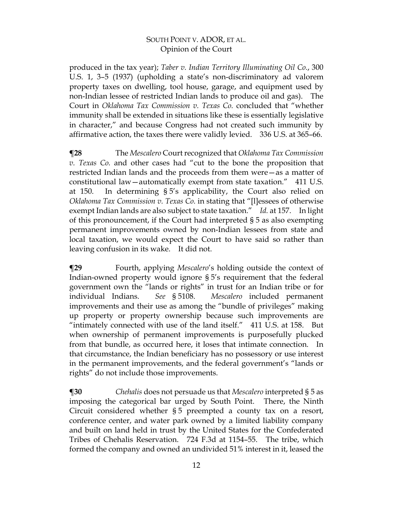produced in the tax year); *Taber v. Indian Territory Illuminating Oil Co.*, 300 U.S. 1, 3–5 (1937) (upholding a state's non-discriminatory ad valorem property taxes on dwelling, tool house, garage, and equipment used by non-Indian lessee of restricted Indian lands to produce oil and gas). The Court in *Oklahoma Tax Commission v. Texas Co.* concluded that "whether immunity shall be extended in situations like these is essentially legislative in character," and because Congress had not created such immunity by affirmative action, the taxes there were validly levied. 336 U.S. at 365–66.

**¶28** The *Mescalero* Court recognized that *Oklahoma Tax Commission v. Texas Co.* and other cases had "cut to the bone the proposition that restricted Indian lands and the proceeds from them were—as a matter of constitutional law—automatically exempt from state taxation." 411 U.S. at 150. In determining § 5's applicability, the Court also relied on *Oklahoma Tax Commission v. Texas Co.* in stating that "[l]essees of otherwise exempt Indian lands are also subject to state taxation." *Id.* at 157. In light of this pronouncement, if the Court had interpreted § 5 as also exempting permanent improvements owned by non-Indian lessees from state and local taxation, we would expect the Court to have said so rather than leaving confusion in its wake. It did not.

**¶29** Fourth, applying *Mescalero*'s holding outside the context of Indian-owned property would ignore § 5's requirement that the federal government own the "lands or rights" in trust for an Indian tribe or for individual Indians. *See* § 5108. *Mescalero* included permanent improvements and their use as among the "bundle of privileges" making up property or property ownership because such improvements are "intimately connected with use of the land itself." 411 U.S. at 158. But when ownership of permanent improvements is purposefully plucked from that bundle, as occurred here, it loses that intimate connection. In that circumstance, the Indian beneficiary has no possessory or use interest in the permanent improvements, and the federal government's "lands or rights" do not include those improvements.

**¶30** *Chehalis* does not persuade us that *Mescalero* interpreted § 5 as imposing the categorical bar urged by South Point. There, the Ninth Circuit considered whether § 5 preempted a county tax on a resort, conference center, and water park owned by a limited liability company and built on land held in trust by the United States for the Confederated Tribes of Chehalis Reservation. 724 F.3d at 1154–55. The tribe, which formed the company and owned an undivided 51% interest in it, leased the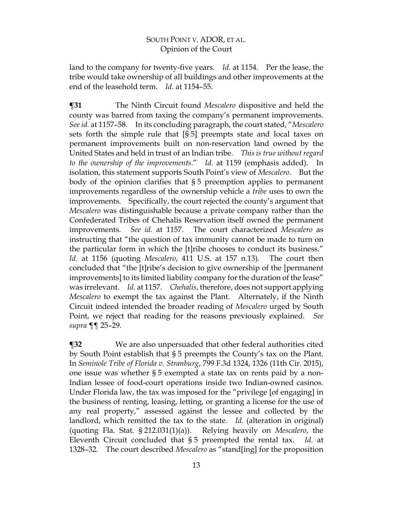land to the company for twenty-five years. *Id.* at 1154. Per the lease, the tribe would take ownership of all buildings and other improvements at the end of the leasehold term. *Id.* at 1154–55.

**¶31** The Ninth Circuit found *Mescalero* dispositive and held the county was barred from taxing the company's permanent improvements. *See id.* at 1157–58. In its concluding paragraph, the court stated, "*Mescalero* sets forth the simple rule that [§ 5] preempts state and local taxes on permanent improvements built on non-reservation land owned by the United States and held in trust of an Indian tribe. *This is true without regard to the ownership of the improvements*." *Id.* at 1159 (emphasis added). In isolation, this statement supports South Point's view of *Mescalero*. But the body of the opinion clarifies that § 5 preemption applies to permanent improvements regardless of the ownership vehicle a *tribe* uses to own the improvements. Specifically, the court rejected the county's argument that *Mescalero* was distinguishable because a private company rather than the Confederated Tribes of Chehalis Reservation itself owned the permanent improvements. *See id.* at 1157. The court characterized *Mescalero* as instructing that "the question of tax immunity cannot be made to turn on the particular form in which the [t]ribe chooses to conduct its business." *Id.* at 1156 (quoting *Mescalero*, 411 U.S. at 157 n.13). The court then concluded that "the [t]ribe's decision to give ownership of the [permanent improvements] to its limited liability company for the duration of the lease" was irrelevant. *Id.* at 1157. *Chehalis*, therefore, does not support applying *Mescalero* to exempt the tax against the Plant. Alternately, if the Ninth Circuit indeed intended the broader reading of *Mescalero* urged by South Point, we reject that reading for the reasons previously explained. *See supra* ¶¶ 25–29.

**¶32** We are also unpersuaded that other federal authorities cited by South Point establish that § 5 preempts the County's tax on the Plant. In *Seminole Tribe of Florida v. Stranburg*, 799 F.3d 1324, 1326 (11th Cir. 2015), one issue was whether § 5 exempted a state tax on rents paid by a non-Indian lessee of food-court operations inside two Indian-owned casinos. Under Florida law, the tax was imposed for the "privilege [of engaging] in the business of renting, leasing, letting, or granting a license for the use of any real property," assessed against the lessee and collected by the landlord, which remitted the tax to the state. *Id.* (alteration in original) (quoting Fla. Stat. § 212.031(1)(a)). Relying heavily on *Mescalero*, the Eleventh Circuit concluded that § 5 preempted the rental tax. *Id.* at 1328–32. The court described *Mescalero* as "stand[ing] for the proposition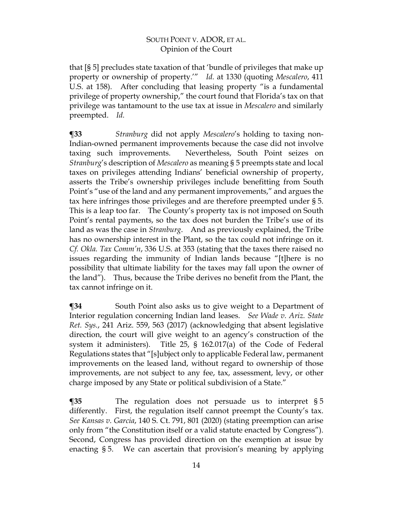that [§ 5] precludes state taxation of that 'bundle of privileges that make up property or ownership of property.'" *Id.* at 1330 (quoting *Mescalero*, 411 U.S. at 158). After concluding that leasing property "is a fundamental privilege of property ownership," the court found that Florida's tax on that privilege was tantamount to the use tax at issue in *Mescalero* and similarly preempted. *Id.*

**¶33** *Stranburg* did not apply *Mescalero*'s holding to taxing non-Indian-owned permanent improvements because the case did not involve taxing such improvements. Nevertheless, South Point seizes on *Stranburg*'s description of *Mescalero* as meaning § 5 preempts state and local taxes on privileges attending Indians' beneficial ownership of property, asserts the Tribe's ownership privileges include benefitting from South Point's "use of the land and any permanent improvements," and argues the tax here infringes those privileges and are therefore preempted under § 5. This is a leap too far. The County's property tax is not imposed on South Point's rental payments, so the tax does not burden the Tribe's use of its land as was the case in *Stranburg*.And as previously explained, the Tribe has no ownership interest in the Plant, so the tax could not infringe on it. *Cf. Okla. Tax Comm'n*, 336 U.S. at 353 (stating that the taxes there raised no issues regarding the immunity of Indian lands because "[t]here is no possibility that ultimate liability for the taxes may fall upon the owner of the land"). Thus, because the Tribe derives no benefit from the Plant, the tax cannot infringe on it.

**¶34** South Point also asks us to give weight to a Department of Interior regulation concerning Indian land leases. *See Wade v. Ariz. State Ret. Sys.*, 241 Ariz. 559, 563 (2017) (acknowledging that absent legislative direction, the court will give weight to an agency's construction of the system it administers). Title 25, § 162.017(a) of the Code of Federal Regulations states that "[s]ubject only to applicable Federal law, permanent improvements on the leased land, without regard to ownership of those improvements, are not subject to any fee, tax, assessment, levy, or other charge imposed by any State or political subdivision of a State."

**¶35** The regulation does not persuade us to interpret § 5 differently. First, the regulation itself cannot preempt the County's tax. *See Kansas v. Garcia*, 140 S. Ct. 791, 801 (2020) (stating preemption can arise only from "the Constitution itself or a valid statute enacted by Congress"). Second, Congress has provided direction on the exemption at issue by enacting § 5. We can ascertain that provision's meaning by applying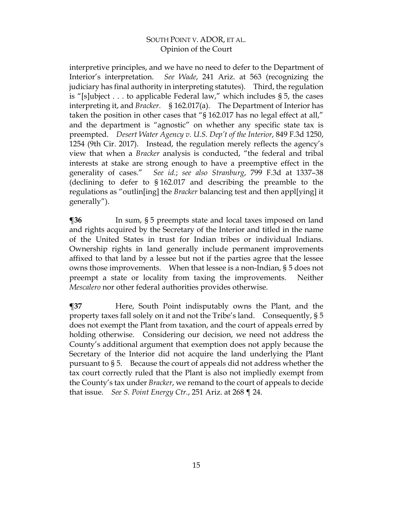interpretive principles, and we have no need to defer to the Department of Interior's interpretation. *See Wade*, 241 Ariz. at 563 (recognizing the judiciary has final authority in interpreting statutes). Third, the regulation is "[s]ubject . . . to applicable Federal law," which includes § 5, the cases interpreting it, and *Bracker*. § 162.017(a). The Department of Interior has taken the position in other cases that "§ 162.017 has no legal effect at all," and the department is "agnostic" on whether any specific state tax is preempted. *Desert Water Agency v. U.S. Dep't of the Interior*, 849 F.3d 1250, 1254 (9th Cir. 2017). Instead, the regulation merely reflects the agency's view that when a *Bracker* analysis is conducted, "the federal and tribal interests at stake are strong enough to have a preemptive effect in the generality of cases." *See id.*; *see also Stranburg*, 799 F.3d at 1337–38 (declining to defer to § 162.017 and describing the preamble to the regulations as "outlin[ing] the *Bracker* balancing test and then appl[ying] it generally").

**¶36** In sum, § 5 preempts state and local taxes imposed on land and rights acquired by the Secretary of the Interior and titled in the name of the United States in trust for Indian tribes or individual Indians. Ownership rights in land generally include permanent improvements affixed to that land by a lessee but not if the parties agree that the lessee owns those improvements. When that lessee is a non-Indian, § 5 does not preempt a state or locality from taxing the improvements. Neither *Mescalero* nor other federal authorities provides otherwise.

**¶37** Here, South Point indisputably owns the Plant, and the property taxes fall solely on it and not the Tribe's land. Consequently, § 5 does not exempt the Plant from taxation, and the court of appeals erred by holding otherwise. Considering our decision, we need not address the County's additional argument that exemption does not apply because the Secretary of the Interior did not acquire the land underlying the Plant pursuant to § 5. Because the court of appeals did not address whether the tax court correctly ruled that the Plant is also not impliedly exempt from the County's tax under *Bracker*, we remand to the court of appeals to decide that issue. *See S. Point Energy Ctr.*, 251 Ariz. at 268 ¶ 24.